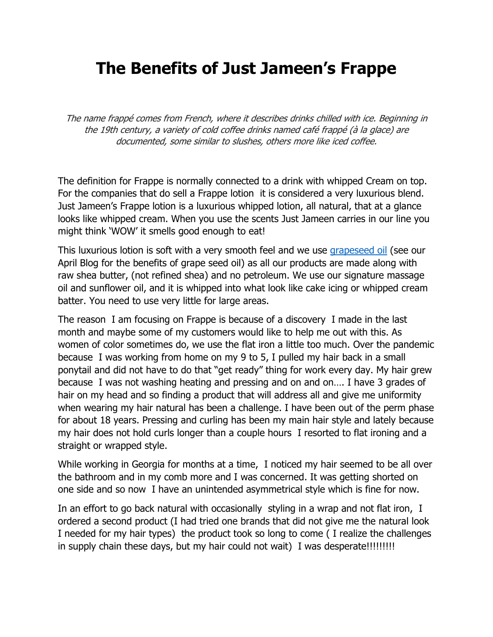## **The Benefits of Just Jameen's Frappe**

The name frappé comes from French, where it describes drinks chilled with ice. Beginning in the 19th century, a variety of cold coffee drinks named café frappé (à la glace) are documented, some similar to slushes, others more like iced coffee.

The definition for Frappe is normally connected to a drink with whipped Cream on top. For the companies that do sell a Frappe lotion it is considered a very luxurious blend. Just Jameen's Frappe lotion is a luxurious whipped lotion, all natural, that at a glance looks like whipped cream. When you use the scents Just Jameen carries in our line you might think 'WOW' it smells good enough to eat!

This luxurious lotion is soft with a very smooth feel and we use grapeseed oil (see our April Blog for the benefits of grape seed oil) as all our products are made along with raw shea butter, (not refined shea) and no petroleum. We use our signature massage oil and sunflower oil, and it is whipped into what look like cake icing or whipped cream batter. You need to use very little for large areas.

The reason I am focusing on Frappe is because of a discovery I made in the last month and maybe some of my customers would like to help me out with this. As women of color sometimes do, we use the flat iron a little too much. Over the pandemic because I was working from home on my 9 to 5, I pulled my hair back in a small ponytail and did not have to do that "get ready" thing for work every day. My hair grew because I was not washing heating and pressing and on and on…. I have 3 grades of hair on my head and so finding a product that will address all and give me uniformity when wearing my hair natural has been a challenge. I have been out of the perm phase for about 18 years. Pressing and curling has been my main hair style and lately because my hair does not hold curls longer than a couple hours I resorted to flat ironing and a straight or wrapped style.

While working in Georgia for months at a time, I noticed my hair seemed to be all over the bathroom and in my comb more and I was concerned. It was getting shorted on one side and so now I have an unintended asymmetrical style which is fine for now.

In an effort to go back natural with occasionally styling in a wrap and not flat iron, I ordered a second product (I had tried one brands that did not give me the natural look I needed for my hair types) the product took so long to come ( I realize the challenges in supply chain these days, but my hair could not wait) I was desperate!!!!!!!!!!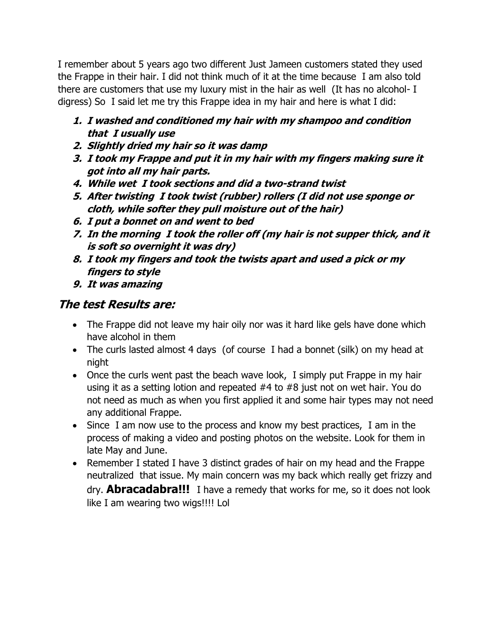I remember about 5 years ago two different Just Jameen customers stated they used the Frappe in their hair. I did not think much of it at the time because I am also told there are customers that use my luxury mist in the hair as well (It has no alcohol- I digress) So I said let me try this Frappe idea in my hair and here is what I did:

- **1. I washed and conditioned my hair with my shampoo and condition that I usually use**
- **2. Slightly dried my hair so it was damp**
- **3. I took my Frappe and put it in my hair with my fingers making sure it got into all my hair parts.**
- **4. While wet I took sections and did a two-strand twist**
- **5. After twisting I took twist (rubber) rollers (I did not use sponge or cloth, while softer they pull moisture out of the hair)**
- **6. I put a bonnet on and went to bed**
- **7. In the morning I took the roller off (my hair is not supper thick, and it is soft so overnight it was dry)**
- **8. I took my fingers and took the twists apart and used a pick or my fingers to style**
- **9. It was amazing**

## **The test Results are:**

- The Frappe did not leave my hair oily nor was it hard like gels have done which have alcohol in them
- The curls lasted almost 4 days (of course I had a bonnet (silk) on my head at night
- Once the curls went past the beach wave look, I simply put Frappe in my hair using it as a setting lotion and repeated #4 to #8 just not on wet hair. You do not need as much as when you first applied it and some hair types may not need any additional Frappe.
- Since I am now use to the process and know my best practices, I am in the process of making a video and posting photos on the website. Look for them in late May and June.
- Remember I stated I have 3 distinct grades of hair on my head and the Frappe neutralized that issue. My main concern was my back which really get frizzy and dry. **Abracadabra!!!** I have a remedy that works for me, so it does not look like I am wearing two wigs!!!! Lol